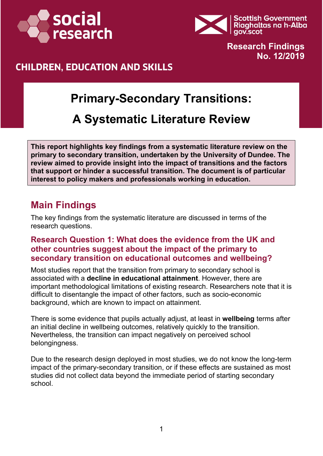



**Research Findings No. 12/2019**

### **CHILDREN, EDUCATION AND SKILLS**

# **Primary-Secondary Transitions:**

# **A Systematic Literature Review**

**This report highlights key findings from a systematic literature review on the primary to secondary transition, undertaken by the University of Dundee. The review aimed to provide insight into the impact of transitions and the factors that support or hinder a successful transition. The document is of particular interest to policy makers and professionals working in education.** 

### **Main Findings**

The key findings from the systematic literature are discussed in terms of the research questions.

#### **Research Question 1: What does the evidence from the UK and other countries suggest about the impact of the primary to secondary transition on educational outcomes and wellbeing?**

Most studies report that the transition from primary to secondary school is associated with a **decline in educational attainment**. However, there are important methodological limitations of existing research. Researchers note that it is difficult to disentangle the impact of other factors, such as socio-economic background, which are known to impact on attainment.

There is some evidence that pupils actually adjust, at least in **wellbeing** terms after an initial decline in wellbeing outcomes, relatively quickly to the transition. Nevertheless, the transition can impact negatively on perceived school belongingness.

Due to the research design deployed in most studies, we do not know the long-term impact of the primary-secondary transition, or if these effects are sustained as most studies did not collect data beyond the immediate period of starting secondary school.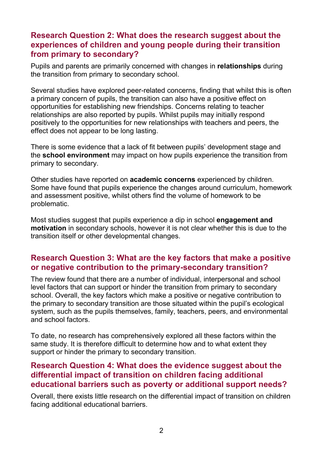#### **Research Question 2: What does the research suggest about the experiences of children and young people during their transition from primary to secondary?**

Pupils and parents are primarily concerned with changes in **relationships** during the transition from primary to secondary school.

Several studies have explored peer-related concerns, finding that whilst this is often a primary concern of pupils, the transition can also have a positive effect on opportunities for establishing new friendships. Concerns relating to teacher relationships are also reported by pupils. Whilst pupils may initially respond positively to the opportunities for new relationships with teachers and peers, the effect does not appear to be long lasting.

There is some evidence that a lack of fit between pupils' development stage and the **school environment** may impact on how pupils experience the transition from primary to secondary.

Other studies have reported on **academic concerns** experienced by children. Some have found that pupils experience the changes around curriculum, homework and assessment positive, whilst others find the volume of homework to be problematic.

Most studies suggest that pupils experience a dip in school **engagement and motivation** in secondary schools, however it is not clear whether this is due to the transition itself or other developmental changes.

#### **Research Question 3: What are the key factors that make a positive or negative contribution to the primary-secondary transition?**

The review found that there are a number of individual, interpersonal and school level factors that can support or hinder the transition from primary to secondary school. Overall, the key factors which make a positive or negative contribution to the primary to secondary transition are those situated within the pupil's ecological system, such as the pupils themselves, family, teachers, peers, and environmental and school factors.

To date, no research has comprehensively explored all these factors within the same study. It is therefore difficult to determine how and to what extent they support or hinder the primary to secondary transition.

#### **Research Question 4: What does the evidence suggest about the differential impact of transition on children facing additional educational barriers such as poverty or additional support needs?**

Overall, there exists little research on the differential impact of transition on children facing additional educational barriers.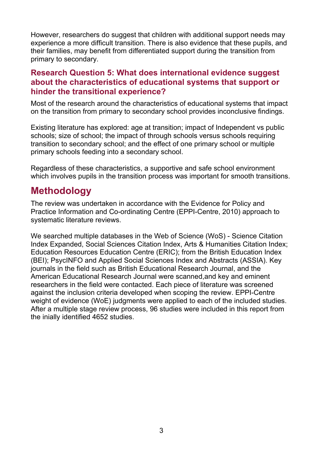However, researchers do suggest that children with additional support needs may experience a more difficult transition. There is also evidence that these pupils, and their families, may benefit from differentiated support during the transition from primary to secondary.

#### **Research Question 5: What does international evidence suggest about the characteristics of educational systems that support or hinder the transitional experience?**

Most of the research around the characteristics of educational systems that impact on the transition from primary to secondary school provides inconclusive findings.

Existing literature has explored: age at transition; impact of Independent vs public schools; size of school; the impact of through schools versus schools requiring transition to secondary school; and the effect of one primary school or multiple primary schools feeding into a secondary school.

Regardless of these characteristics, a supportive and safe school environment which involves pupils in the transition process was important for smooth transitions.

### **Methodology**

The review was undertaken in accordance with the Evidence for Policy and Practice Information and Co-ordinating Centre (EPPI-Centre, 2010) approach to systematic literature reviews.

We searched multiple databases in the Web of Science (WoS) - Science Citation Index Expanded, Social Sciences Citation Index, Arts & Humanities Citation Index; Education Resources Education Centre (ERIC); from the British Education Index (BEI); PsycINFO and Applied Social Sciences Index and Abstracts (ASSIA). Key journals in the field such as British Educational Research Journal, and the American Educational Research Journal were scanned,and key and eminent researchers in the field were contacted. Each piece of literature was screened against the inclusion criteria developed when scoping the review. EPPI-Centre weight of evidence (WoE) judgments were applied to each of the included studies. After a multiple stage review process, 96 studies were included in this report from the inially identified 4652 studies.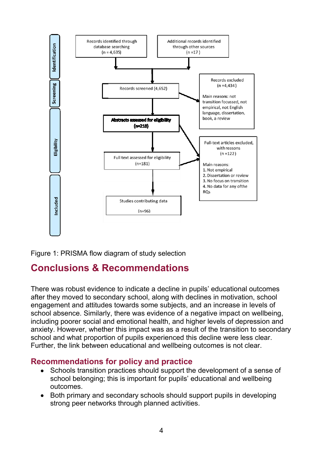

Figure 1: PRISMA flow diagram of study selection

## **Conclusions & Recommendations**

There was robust evidence to indicate a decline in pupils' educational outcomes after they moved to secondary school, along with declines in motivation, school engagement and attitudes towards some subjects, and an increase in levels of school absence. Similarly, there was evidence of a negative impact on wellbeing, including poorer social and emotional health, and higher levels of depression and anxiety. However, whether this impact was as a result of the transition to secondary school and what proportion of pupils experienced this decline were less clear. Further, the link between educational and wellbeing outcomes is not clear.

#### **Recommendations for policy and practice**

- Schools transition practices should support the development of a sense of school belonging; this is important for pupils' educational and wellbeing outcomes.
- Both primary and secondary schools should support pupils in developing strong peer networks through planned activities.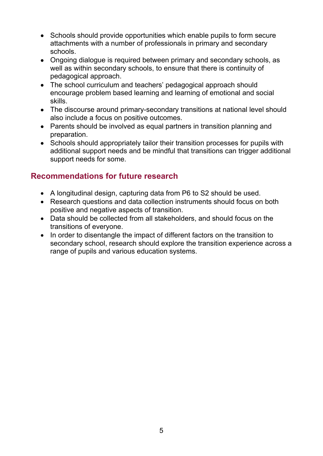- Schools should provide opportunities which enable pupils to form secure attachments with a number of professionals in primary and secondary schools.
- Ongoing dialogue is required between primary and secondary schools, as well as within secondary schools, to ensure that there is continuity of pedagogical approach.
- The school curriculum and teachers' pedagogical approach should encourage problem based learning and learning of emotional and social skills.
- The discourse around primary-secondary transitions at national level should also include a focus on positive outcomes.
- Parents should be involved as equal partners in transition planning and preparation.
- Schools should appropriately tailor their transition processes for pupils with additional support needs and be mindful that transitions can trigger additional support needs for some.

### **Recommendations for future research**

- A longitudinal design, capturing data from P6 to S2 should be used.
- Research questions and data collection instruments should focus on both positive and negative aspects of transition.
- Data should be collected from all stakeholders, and should focus on the transitions of everyone.
- In order to disentangle the impact of different factors on the transition to secondary school, research should explore the transition experience across a range of pupils and various education systems.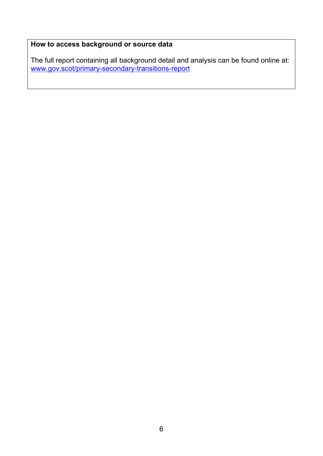#### **How to access background or source data**

The full report containing all background detail and analysis can be found online at: [www.gov.scot/primary-secondary-transitions-report](http://www.gov.scot/primary-secondary-transitions-report)